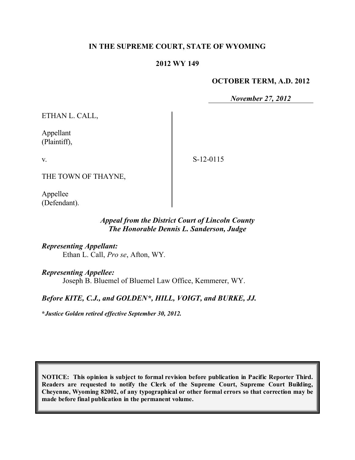## **IN THE SUPREME COURT, STATE OF WYOMING**

#### **2012 WY 149**

#### **OCTOBER TERM, A.D. 2012**

*November 27, 2012*

ETHAN L. CALL,

Appellant (Plaintiff),

v.

S-12-0115

THE TOWN OF THAYNE,

Appellee (Defendant).

## *Appeal from the District Court of Lincoln County The Honorable Dennis L. Sanderson, Judge*

*Representing Appellant:* Ethan L. Call, *Pro se*, Afton, WY*.*

*Representing Appellee:*

Joseph B. Bluemel of Bluemel Law Office, Kemmerer, WY.

#### *Before KITE, C.J., and GOLDEN\*, HILL, VOIGT, and BURKE, JJ.*

**\****Justice Golden retired effective September 30, 2012.*

**NOTICE: This opinion is subject to formal revision before publication in Pacific Reporter Third. Readers are requested to notify the Clerk of the Supreme Court, Supreme Court Building, Cheyenne, Wyoming 82002, of any typographical or other formal errors so that correction may be made before final publication in the permanent volume.**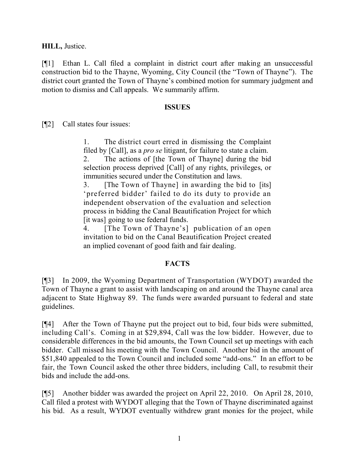**HILL,** Justice.

[¶1] Ethan L. Call filed a complaint in district court after making an unsuccessful construction bid to the Thayne, Wyoming, City Council (the "Town of Thayne"). The district court granted the Town of Thayne's combined motion for summary judgment and motion to dismiss and Call appeals. We summarily affirm.

### **ISSUES**

[¶2] Call states four issues:

1. The district court erred in dismissing the Complaint filed by [Call], as a *pro se* litigant, for failure to state a claim.

2. The actions of [the Town of Thayne] during the bid selection process deprived [Call] of any rights, privileges, or immunities secured under the Constitution and laws.

3. [The Town of Thayne] in awarding the bid to [its] 'preferred bidder' failed to do its duty to provide an independent observation of the evaluation and selection process in bidding the Canal Beautification Project for which [it was] going to use federal funds.

[The Town of Thayne's] publication of an open invitation to bid on the Canal Beautification Project created an implied covenant of good faith and fair dealing.

## **FACTS**

[¶3] In 2009, the Wyoming Department of Transportation (WYDOT) awarded the Town of Thayne a grant to assist with landscaping on and around the Thayne canal area adjacent to State Highway 89. The funds were awarded pursuant to federal and state guidelines.

[¶4] After the Town of Thayne put the project out to bid, four bids were submitted, including Call's. Coming in at \$29,894, Call was the low bidder. However, due to considerable differences in the bid amounts, the Town Council set up meetings with each bidder. Call missed his meeting with the Town Council. Another bid in the amount of \$51,840 appealed to the Town Council and included some "add-ons." In an effort to be fair, the Town Council asked the other three bidders, including Call, to resubmit their bids and include the add-ons.

[¶5] Another bidder was awarded the project on April 22, 2010. On April 28, 2010, Call filed a protest with WYDOT alleging that the Town of Thayne discriminated against his bid. As a result, WYDOT eventually withdrew grant monies for the project, while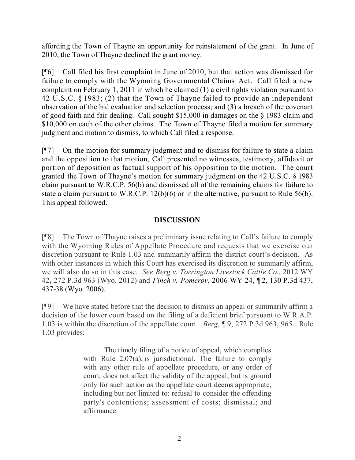affording the Town of Thayne an opportunity for reinstatement of the grant. In June of 2010, the Town of Thayne declined the grant money.

[¶6] Call filed his first complaint in June of 2010, but that action was dismissed for failure to comply with the Wyoming Governmental Claims Act. Call filed a new complaint on February 1, 2011 in which he claimed (1) a civil rights violation pursuant to 42 U.S.C. § 1983; (2) that the Town of Thayne failed to provide an independent observation of the bid evaluation and selection process; and (3) a breach of the covenant of good faith and fair dealing. Call sought \$15,000 in damages on the § 1983 claim and \$10,000 on each of the other claims. The Town of Thayne filed a motion for summary judgment and motion to dismiss, to which Call filed a response.

[¶7] On the motion for summary judgment and to dismiss for failure to state a claim and the opposition to that motion, Call presented no witnesses, testimony, affidavit or portion of deposition as factual support of his opposition to the motion. The court granted the Town of Thayne's motion for summary judgment on the 42 U.S.C. § 1983 claim pursuant to W.R.C.P. 56(b) and dismissed all of the remaining claims for failure to state a claim pursuant to W.R.C.P. 12(b)(6) or in the alternative, pursuant to Rule 56(b). This appeal followed.

# **DISCUSSION**

[¶8] The Town of Thayne raises a preliminary issue relating to Call's failure to comply with the Wyoming Rules of Appellate Procedure and requests that we exercise our discretion pursuant to Rule 1.03 and summarily affirm the district court's decision. As with other instances in which this Court has exercised its discretion to summarily affirm, we will also do so in this case. *See Berg v. Torrington Livestock Cattle Co*., 2012 WY 42**,** 272 P.3d 963 (Wyo. 2012) and *Finch v. Pomeroy*, 2006 WY 24, ¶ 2, 130 P.3d 437, 437-38 (Wyo. 2006).

[¶9] We have stated before that the decision to dismiss an appeal or summarily affirm a decision of the lower court based on the filing of a deficient brief pursuant to W.R.A.P. 1.03 is within the discretion of the appellate court. *Berg*, ¶ 9, 272 P.3d 963, 965. Rule 1.03 provides:

> The timely filing of a notice of appeal, which complies with Rule 2.07(a), is jurisdictional. The failure to comply with any other rule of appellate procedure, or any order of court, does not affect the validity of the appeal, but is ground only for such action as the appellate court deems appropriate, including but not limited to: refusal to consider the offending party's contentions; assessment of costs; dismissal; and affirmance.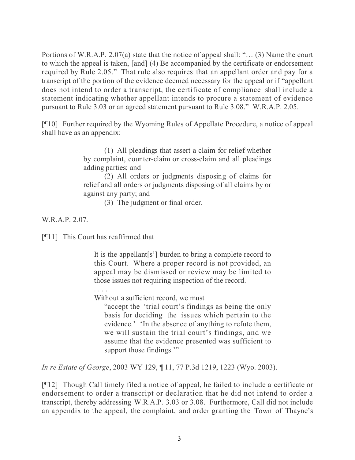Portions of W.R.A.P. 2.07(a) state that the notice of appeal shall: "… (3) Name the court to which the appeal is taken, [and] (4) Be accompanied by the certificate or endorsement required by Rule 2.05." That rule also requires that an appellant order and pay for a transcript of the portion of the evidence deemed necessary for the appeal or if "appellant does not intend to order a transcript, the certificate of compliance shall include a statement indicating whether appellant intends to procure a statement of evidence pursuant to Rule 3.03 or an agreed statement pursuant to Rule 3.08." W.R.A.P. 2.05.

[¶10] Further required by the Wyoming Rules of Appellate Procedure, a notice of appeal shall have as an appendix:

> (1) All pleadings that assert a claim for relief whether by complaint, counter-claim or cross-claim and all pleadings adding parties; and

> (2) All orders or judgments disposing of claims for relief and all orders or judgments disposing of all claims by or against any party; and

(3) The judgment or final order.

W.R.A.P. 2.07.

[¶11] This Court has reaffirmed that

It is the appellant[s'] burden to bring a complete record to this Court. Where a proper record is not provided, an appeal may be dismissed or review may be limited to those issues not requiring inspection of the record.

. . . .

Without a sufficient record, we must

"accept the 'trial court's findings as being the only basis for deciding the issues which pertain to the evidence.' 'In the absence of anything to refute them, we will sustain the trial court's findings, and we assume that the evidence presented was sufficient to support those findings."

*In re Estate of George*, 2003 WY 129, ¶ 11, 77 P.3d 1219, 1223 (Wyo. 2003).

[¶12] Though Call timely filed a notice of appeal, he failed to include a certificate or endorsement to order a transcript or declaration that he did not intend to order a transcript, thereby addressing W.R.A.P. 3.03 or 3.08. Furthermore, Call did not include an appendix to the appeal, the complaint, and order granting the Town of Thayne's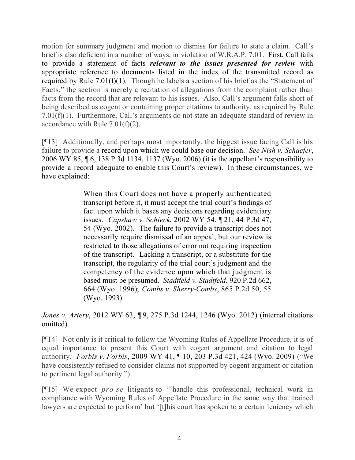motion for summary judgment and motion to dismiss for failure to state a claim. Call's brief is also deficient in a number of ways, in violation of W.R.A.P. 7.01. First, Call fails to provide a statement of facts *relevant to the issues presented for review* with appropriate reference to documents listed in the index of the transmitted record as required by Rule 7.01(f)(1). Though he labels a section of his brief as the "Statement of Facts," the section is merely a recitation of allegations from the complaint rather than facts from the record that are relevant to his issues. Also, Call's argument falls short of being described as cogent or containing proper citations to authority, as required by Rule 7.01(f)(1). Furthermore, Call's arguments do not state an adequate standard of review in accordance with Rule 7.01(f)(2).

[¶13] Additionally, and perhaps most importantly, the biggest issue facing Call is his failure to provide a record upon which we could base our decision. *See Nish v. Schaefer*, 2006 WY 85, ¶ 6, 138 P.3d 1134, 1137 (Wyo. 2006) (it is the appellant's responsibility to provide a record adequate to enable this Court's review). In these circumstances, we have explained:

> When this Court does not have a properly authenticated transcript before it, it must accept the trial court's findings of fact upon which it bases any decisions regarding evidentiary issues. *Capshaw v. Schieck*, 2002 WY 54, ¶ 21, 44 P.3d 47, 54 (Wyo. 2002). The failure to provide a transcript does not necessarily require dismissal of an appeal, but our review is restricted to those allegations of error not requiring inspection of the transcript. Lacking a transcript, or a substitute for the transcript, the regularity of the trial court's judgment and the competency of the evidence upon which that judgment is based must be presumed. *Stadtfeld v. Stadtfeld*, 920 P.2d 662, 664 (Wyo. 1996); *Combs v. Sherry-Combs*, 865 P.2d 50, 55 (Wyo. 1993).

*Jones v. Artery*, 2012 WY 63, ¶ 9, 275 P.3d 1244, 1246 (Wyo. 2012) (internal citations omitted).

[¶14] Not only is it critical to follow the Wyoming Rules of Appellate Procedure, it is of equal importance to present this Court with cogent argument and citation to legal authority. *Forbis v. Forbis*, 2009 WY 41, ¶ 10, 203 P.3d 421, 424 (Wyo. 2009) ("We have consistently refused to consider claims not supported by cogent argument or citation to pertinent legal authority.").

[¶15] We expect *pro se* litigants to "'handle this professional, technical work in compliance with Wyoming Rules of Appellate Procedure in the same way that trained lawyers are expected to perform' but '[t]his court has spoken to a certain leniency which